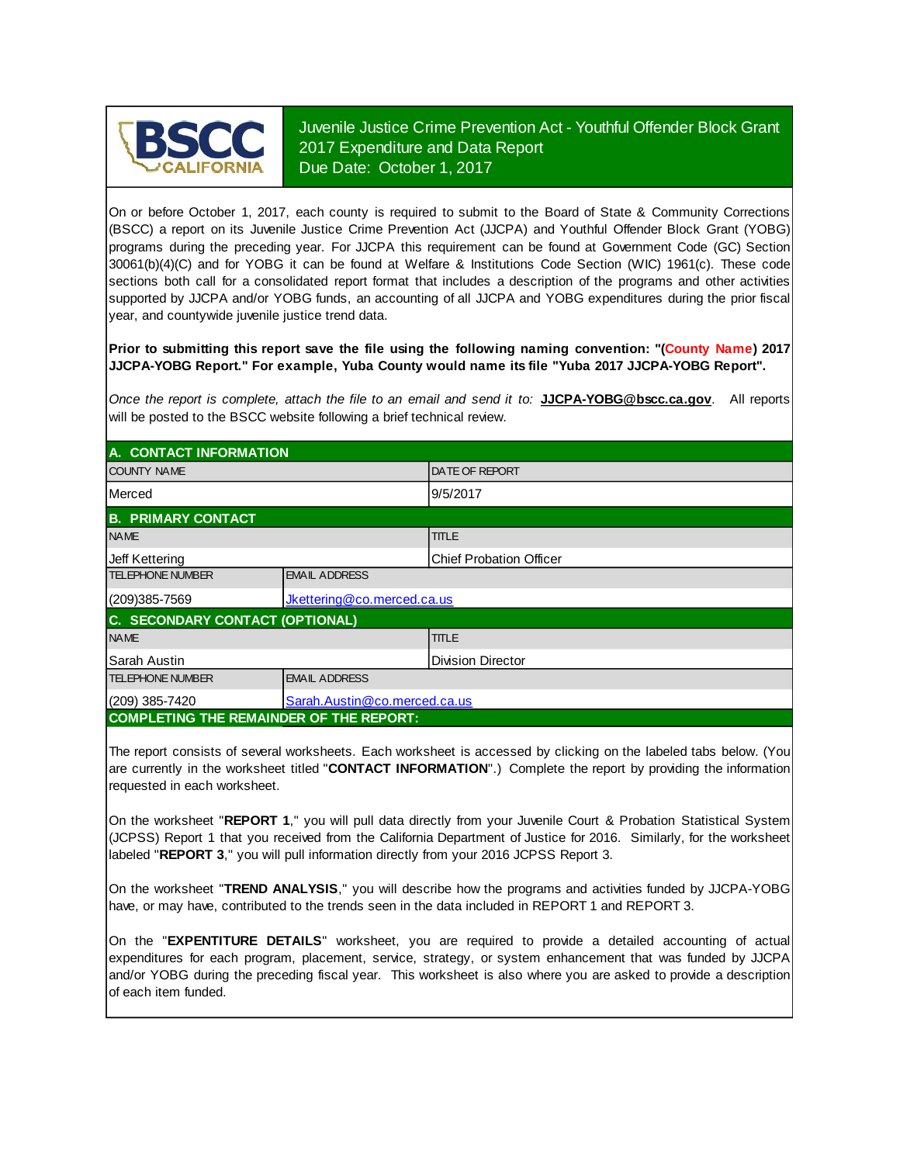

Juvenile Justice Crime Prevention Act - Youthful Offender Block Grant 2017 Expenditure and Data Report Due Date: October 1, 2017

On or before October 1, 2017, each county is required to submit to the Board of State & Community Corrections (BSCC) <sup>a</sup> report on its Juvenile Justice Crime Prevention Act (JJCPA) and Youthful Offender Block Grant (YOBG) programs during the preceding year. For JJCPA this requirement can be found at Government Code (GC) Section 30061(b)(4)(C) and for YOBG it can be found at Welfare & Institutions Code Section (WIC) 1961(c). These code sections both call for <sup>a</sup> consolidated report format that includes <sup>a</sup> description of the programs and other activities supported by JJCPA and/or YOBG funds, an accounting of all JJCPA and YOBG expenditures during the prior fiscal year, and countywide juvenile justice trend data.

**Prior to submitting this report save the file using the following naming convention: "(County Name) 2017 JJCPA-YOBG Report." For example, Yuba County would name its file "Yuba 2017 JJCPA-YOBG Report".**

*Once the report is complete, attach the file t o an email and send it to:* **JJCPA-YOBG@bscc.ca.gov**. All reports will be posted to the BSCC website following a brief technical review.

| A. CONTACT INFORMATION                         |                              |                                |  |  |  |
|------------------------------------------------|------------------------------|--------------------------------|--|--|--|
| <b>COUNTY NAME</b>                             |                              | <b>DATE OF REPORT</b>          |  |  |  |
| Merced                                         |                              | 9/5/2017                       |  |  |  |
| <b>B. PRIMARY CONTACT</b>                      |                              |                                |  |  |  |
| <b>NAME</b>                                    |                              | <b>TITLE</b>                   |  |  |  |
| Jeff Kettering                                 |                              | <b>Chief Probation Officer</b> |  |  |  |
| <b>TELEPHONE NUMBER</b>                        | <b>EMAIL ADDRESS</b>         |                                |  |  |  |
| $(209)385 - 7569$                              | Jkettering@co.merced.ca.us   |                                |  |  |  |
| C. SECONDARY CONTACT (OPTIONAL)                |                              |                                |  |  |  |
| <b>NAME</b>                                    |                              | <b>TITLE</b>                   |  |  |  |
| Sarah Austin                                   |                              | Division Director              |  |  |  |
| <b>TELEPHONE NUMBER</b>                        | <b>EMAIL ADDRESS</b>         |                                |  |  |  |
| $(209)$ 385-7420                               | Sarah.Austin@co.merced.ca.us |                                |  |  |  |
| <b>COMPLETING THE REMAINDER OF THE REPORT:</b> |                              |                                |  |  |  |

The report consists of several worksheets. Each worksheet is accessed by clicking on the labeled tabs below. (You are currently in the worksheet titled "**CONTACT INFORMATION**".) Complete the report by providing the information requested in each worksheet.

On the worksheet "REPORT 1," you will pull data directly from your Juvenile Court & Probation Statistical System (JCPSS) Report 1 that you received from the California Department of Justice for 2016. Similarly, for the worksheet labeled "**REPORT 3**," you will pull information directly from your 2016 JCPSS Report 3.

On the worksheet "**TREND ANALYSIS**, " you will describe how the programs and activities funded by JJCPA-YOBG have, or may have, contributed to the trends seen in the data included in REPORT 1 and REPORT 3.

On the "EXPENTITURE DETAILS" worksheet, you are required to provide a detailed accounting of actual expenditures for each program, placement, service, strategy, or system enhancement that was funded by JJCPA and/or YOBG during the preceding fiscal year. This worksheet is also where you are asked to provide a description of each item funded.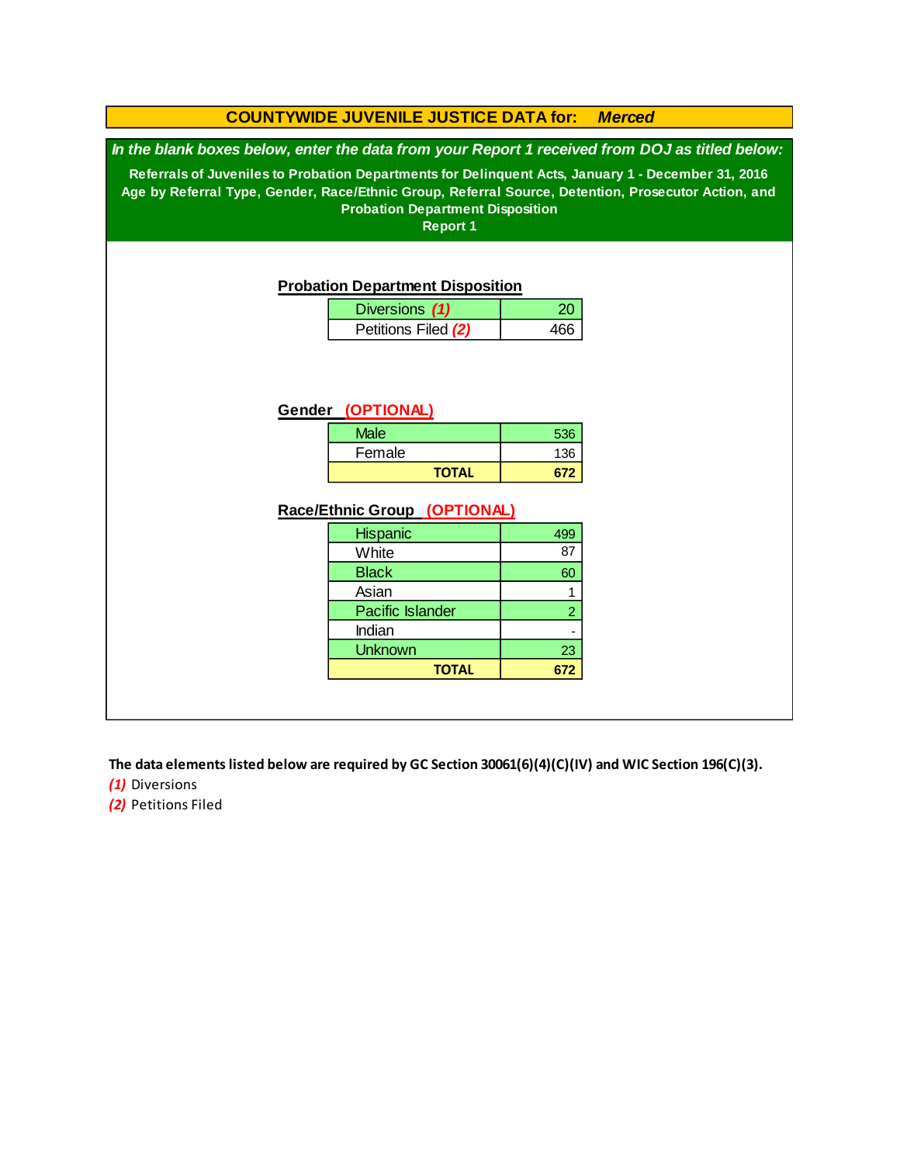### **Race/Ethnic Group (OPTIONAL)** Asian 136  **672 Hispanic** Female 499 87 60 1 **COUNTYWIDE JUVENILE JUSTICE DATA for:** *Merced* **White Black** Diversions **(1)** 20 Petitions Filed (2) 466 **TOTAL** 536 *In the blank boxes below, enter the data from your Report 1 received from DOJ as titled below:* **Probation Department Disposition Referrals of Juveniles to Probation Departments for Delinquent Acts, January 1 - December 31, 2016 Age by Referral Type, Gender, Race/Ethnic Group, Referral Source, Detention, Prosecutor Action, and Probation Department Disposition Report 1 Gender (OPTIONAL) Male**

**TOTAL**

-

 23  **672**

2

*(1)* Diversions **The data elements listed below are required by GC Section 30061(6)(4)(C)(IV) and WIC Section 196(C)(3).**

Indian **Unknown** 

Pacific Islander

*(2)* Petitions Filed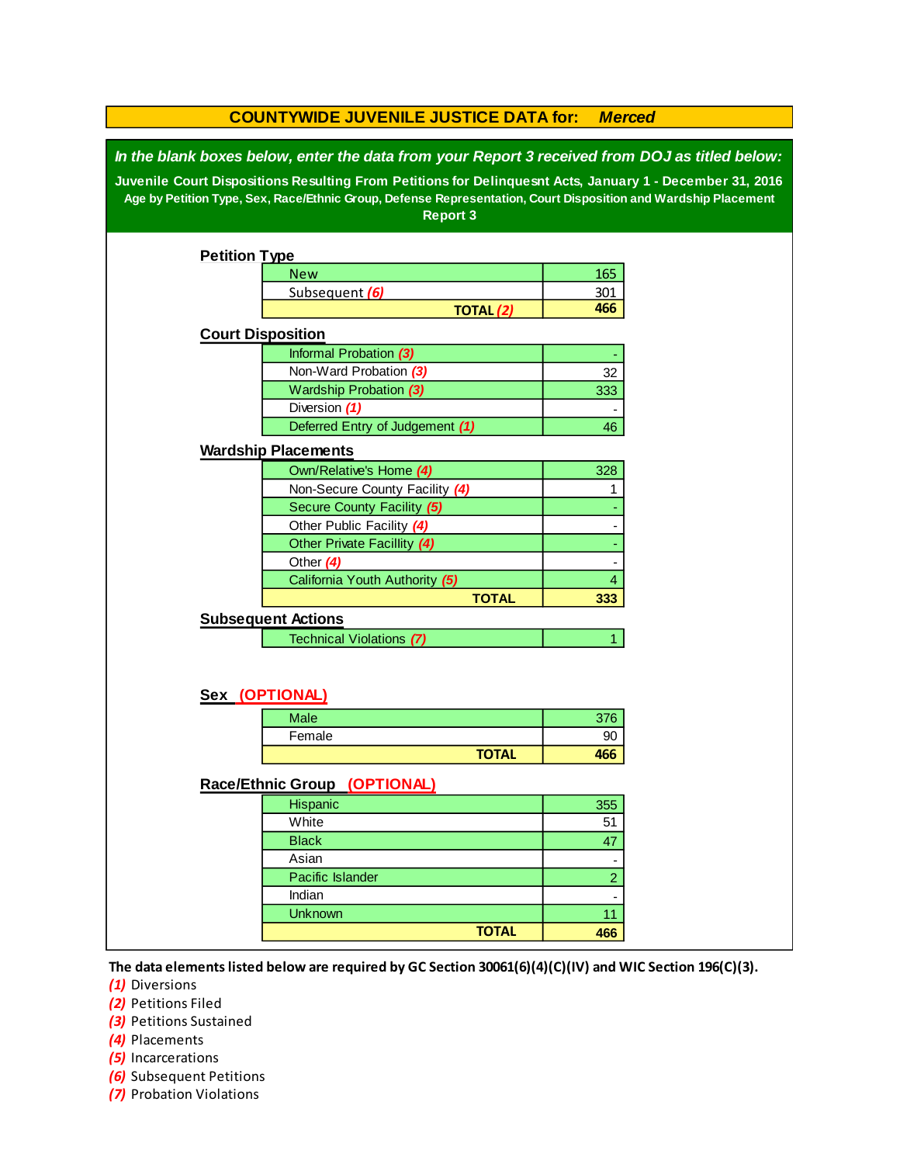| <b>COUNTYWIDE JUVENILE JUSTICE DATA for:</b><br><b>Merced</b>                                                                                                                                                                                                                                                                                   |                                 |                  |                          |  |  |  |
|-------------------------------------------------------------------------------------------------------------------------------------------------------------------------------------------------------------------------------------------------------------------------------------------------------------------------------------------------|---------------------------------|------------------|--------------------------|--|--|--|
| In the blank boxes below, enter the data from your Report 3 received from DOJ as titled below:<br>Juvenile Court Dispositions Resulting From Petitions for Delinquesnt Acts, January 1 - December 31, 2016<br>Age by Petition Type, Sex, Race/Ethnic Group, Defense Representation, Court Disposition and Wardship Placement<br><b>Report 3</b> |                                 |                  |                          |  |  |  |
| <b>Petition Type</b>                                                                                                                                                                                                                                                                                                                            |                                 |                  |                          |  |  |  |
|                                                                                                                                                                                                                                                                                                                                                 | <b>New</b>                      |                  | 165                      |  |  |  |
|                                                                                                                                                                                                                                                                                                                                                 | Subsequent (6)                  |                  | 301                      |  |  |  |
|                                                                                                                                                                                                                                                                                                                                                 |                                 | <b>TOTAL (2)</b> | 466                      |  |  |  |
| <b>Court Disposition</b>                                                                                                                                                                                                                                                                                                                        |                                 |                  |                          |  |  |  |
|                                                                                                                                                                                                                                                                                                                                                 | Informal Probation (3)          |                  |                          |  |  |  |
|                                                                                                                                                                                                                                                                                                                                                 | Non-Ward Probation (3)          |                  | 32                       |  |  |  |
|                                                                                                                                                                                                                                                                                                                                                 | Wardship Probation (3)          |                  | 333                      |  |  |  |
|                                                                                                                                                                                                                                                                                                                                                 | Diversion (1)                   |                  | $\overline{\phantom{a}}$ |  |  |  |
|                                                                                                                                                                                                                                                                                                                                                 | Deferred Entry of Judgement (1) |                  | 46                       |  |  |  |
|                                                                                                                                                                                                                                                                                                                                                 | <b>Wardship Placements</b>      |                  |                          |  |  |  |
|                                                                                                                                                                                                                                                                                                                                                 | Own/Relative's Home (4)         |                  | 328                      |  |  |  |
|                                                                                                                                                                                                                                                                                                                                                 | Non-Secure County Facility (4)  |                  | 1                        |  |  |  |
|                                                                                                                                                                                                                                                                                                                                                 | Secure County Facility (5)      |                  |                          |  |  |  |
|                                                                                                                                                                                                                                                                                                                                                 | Other Public Facility (4)       |                  |                          |  |  |  |
|                                                                                                                                                                                                                                                                                                                                                 | Other Private Facillity (4)     |                  |                          |  |  |  |
|                                                                                                                                                                                                                                                                                                                                                 | Other $(4)$                     |                  |                          |  |  |  |
|                                                                                                                                                                                                                                                                                                                                                 | California Youth Authority (5)  | 4                |                          |  |  |  |
|                                                                                                                                                                                                                                                                                                                                                 | <b>TOTAL</b>                    | 333              |                          |  |  |  |
|                                                                                                                                                                                                                                                                                                                                                 | <b>Subsequent Actions</b>       |                  |                          |  |  |  |
| Technical Violations (7)<br>1.                                                                                                                                                                                                                                                                                                                  |                                 |                  |                          |  |  |  |
| Sex (OPTIONAL)                                                                                                                                                                                                                                                                                                                                  |                                 |                  |                          |  |  |  |
|                                                                                                                                                                                                                                                                                                                                                 | <b>Male</b>                     |                  | 376                      |  |  |  |
|                                                                                                                                                                                                                                                                                                                                                 | Female                          |                  | 90                       |  |  |  |
|                                                                                                                                                                                                                                                                                                                                                 |                                 | <b>TOTAL</b>     | 466                      |  |  |  |
| Race/Ethnic Group (OPTIONAL)                                                                                                                                                                                                                                                                                                                    |                                 |                  |                          |  |  |  |
|                                                                                                                                                                                                                                                                                                                                                 | Hispanic                        |                  | 355                      |  |  |  |
|                                                                                                                                                                                                                                                                                                                                                 | White                           |                  | 51                       |  |  |  |
|                                                                                                                                                                                                                                                                                                                                                 | <b>Black</b>                    |                  | 47                       |  |  |  |
|                                                                                                                                                                                                                                                                                                                                                 | Asian                           |                  | $\overline{\phantom{a}}$ |  |  |  |
|                                                                                                                                                                                                                                                                                                                                                 | Pacific Islander                |                  | $\overline{2}$           |  |  |  |
|                                                                                                                                                                                                                                                                                                                                                 | Indian                          |                  |                          |  |  |  |
| <b>Unknown</b><br>11                                                                                                                                                                                                                                                                                                                            |                                 |                  |                          |  |  |  |
|                                                                                                                                                                                                                                                                                                                                                 |                                 | <b>TOTAL</b>     | 466                      |  |  |  |
|                                                                                                                                                                                                                                                                                                                                                 |                                 |                  |                          |  |  |  |

**The data elements listed below are required by GC Section 30061(6)(4)(C)(IV) and WIC Section 196(C)(3).**

*(1)* Diversions

*(2)* Petitions Filed

*(3)* Petitions Sustained

*(4)* Placements

*(5)* Incarcerations

- *(6)* Subsequent Petitions
- *(7)* Probation Violations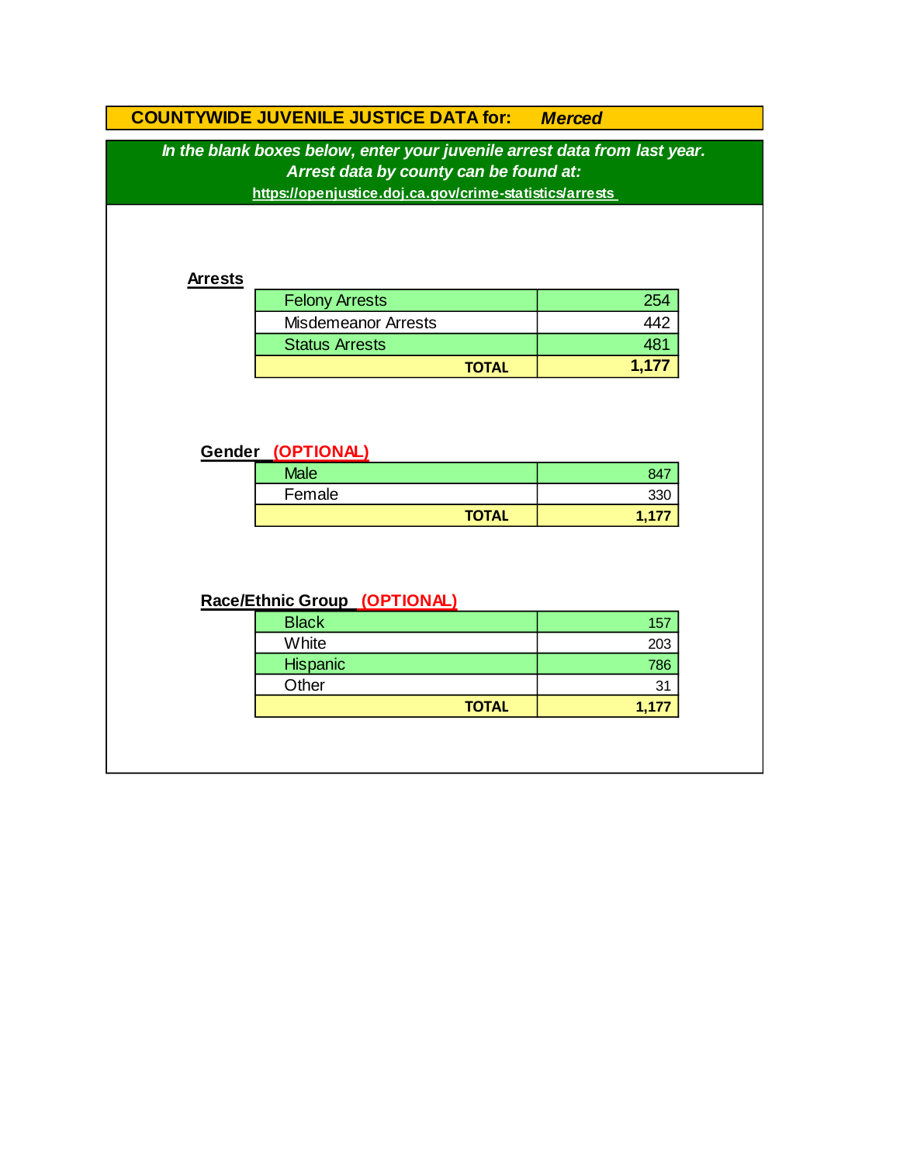# **COUNTYWIDE JUVENILE JUSTICE DATA for:** *Merced* **TOTAL 1,177 Gender (OPTIONAL)** Felony Arrests 254 Misdemeanor Arrests *In the blank boxes below, enter your juvenile arrest data from last year. Arrest data by county can be found at:* **https://openjustice.doj.ca.gov/crime-statistics/arrests**  442 Status Arrests **Arrests 1988 Arrests**

| <b>Male</b> |              | 847  |
|-------------|--------------|------|
| Female      |              | ววก  |
|             | <b>TOTAL</b> | 1,17 |

## **Race/Ethnic Group (OPTIONAL)**

| <b>Black</b> | 157   |
|--------------|-------|
| White        | 203   |
| Hispanic     | 786   |
| Other        | 31    |
| <b>TOTAL</b> | 1,177 |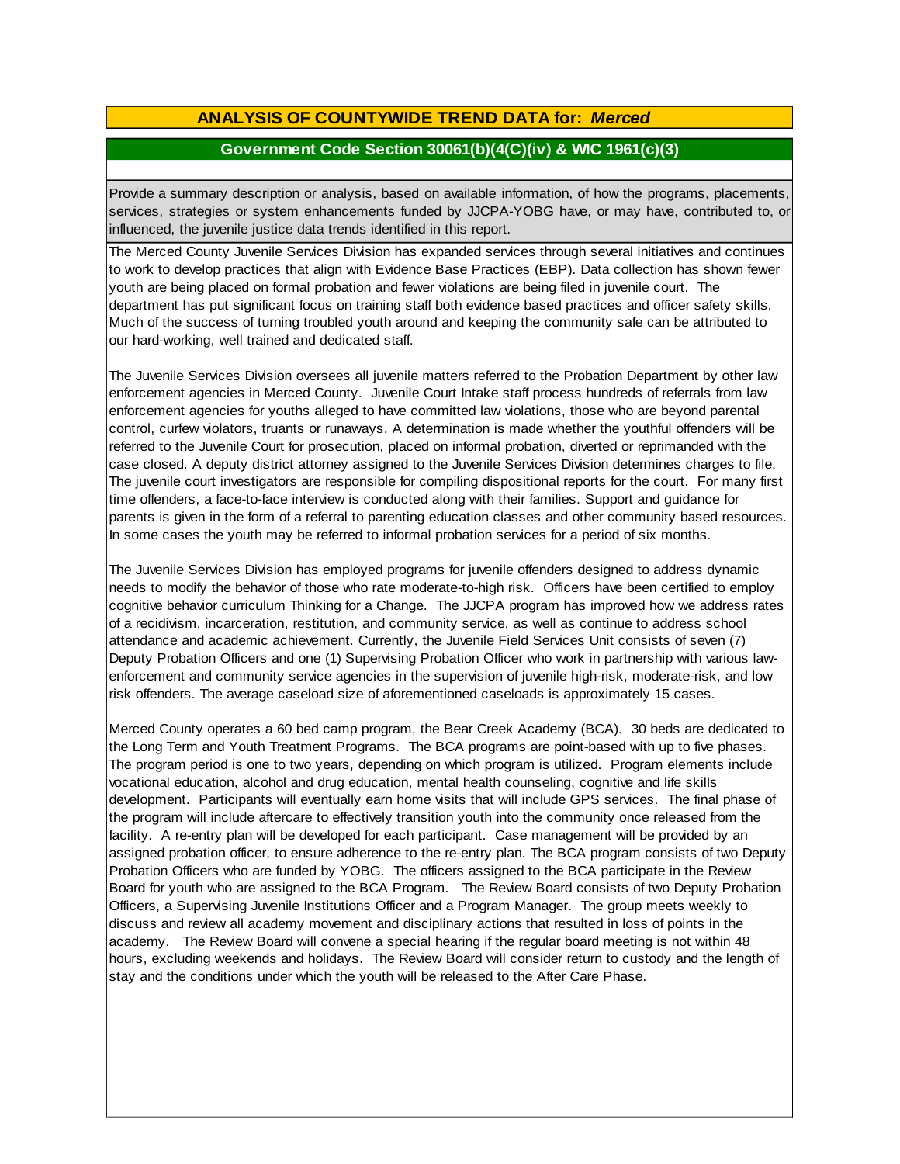## **ANALYSIS OF COUNTYWIDE TREND DATA for:** *Merced*

#### **Government Code Section 30061(b)(4(C)(iv) & WIC 1961(c)(3)**

Provide <sup>a</sup> summary description or analysis, based on available information, of how the programs, placements, services, strategies or system enhancements funded by JJCPA-YOBG have, or may have, contributed to, or influenced, the juvenile justice data trends identified in this report.

The Merced County Juvenile Services Division has expanded services through several initiatives and continues to work to develop practices that align with Evidence Base Practices (EBP). Data collection has shown fewer youth are being placed on formal probation and fewer violations are being filed in juvenile court. The department has put significant focus on training staff both evidence based practices and officer safety skills. Much of the success of turning troubled youth around and keeping the community safe can be attributed to our hard-working, well trained and dedicated staff.

The Juvenile Services Division oversees all juvenile matters referred to the Probation Department by other law enforcement agencies in Merced County. Juvenile Court Intake staff process hundreds of referrals from law enforcement agencies for youths alleged to have committed law violations, those who are beyond parental control, curfew violators, truants or runaways. A determination is made whether the youthful offenders will be referred to the Juvenile Court for prosecution, placed on informal probation, diverted or reprimanded with the case closed. A deputy district attorney assigned to the Juvenile Services Division determines charges to file. The juvenile court investigators are responsible for compiling dispositional reports for the court. For many first time offenders, a face-to-face interview is conducted along with their families. Support and guidance for parents is given in the form of a referral to parenting education classes and other community based resources. In some cases the youth may be referred to informal probation services for a period of six months.

The Juvenile Services Division has employed programs for juvenile offenders designed to address dynamic needs to modify the behavior of those who rate moderate-to-high risk. Officers have been certified to employ cognitive behavior curriculum Thinking for a Change. The JJCPA program has improved how we address rates of a recidivism, incarceration, restitution, and community service, as well as continue to address school attendance and academic achievement. Currently, the Juvenile Field Services Unit consists of seven (7) Deputy Probation Officers and one (1) Supervising Probation Officer who work in partnership with various lawenforcement and community service agencies in the supervision of juvenile high-risk, moderate-risk, and low risk offenders. The average caseload size of aforementioned caseloads is approximately 15 cases.

Merced County operates a 60 bed camp program, the Bear Creek Academy (BCA). 30 beds are dedicated to the Long Term and Youth Treatment Programs. The BCA programs are point-based with up to five phases. The program period is one to two years, depending on which program is utilized. Program elements include vocational education, alcohol and drug education, mental health counseling, cognitive and life skills development. Participants will eventually earn home visits that will include GPS services. The final phase of the program will include aftercare to effectively transition youth into the community once released from the facility. A re-entry plan will be developed for each participant. Case management will be provided by an assigned probation officer, to ensure adherence to the re-entry plan. The BCA program consists of two Deputy Probation Officers who are funded by YOBG. The officers assigned to the BCA participate in the Review Board for youth who are assigned to the BCA Program. The Review Board consists of two Deputy Probation Officers, a Supervising Juvenile Institutions Officer and a Program Manager. The group meets weekly to discuss and review all academy movement and disciplinary actions that resulted in loss of points in the academy. The Review Board will convene a special hearing if the regular board meeting is not within 48 hours, excluding weekends and holidays. The Review Board will consider return to custody and the length of stay and the conditions under which the youth will be released to the After Care Phase.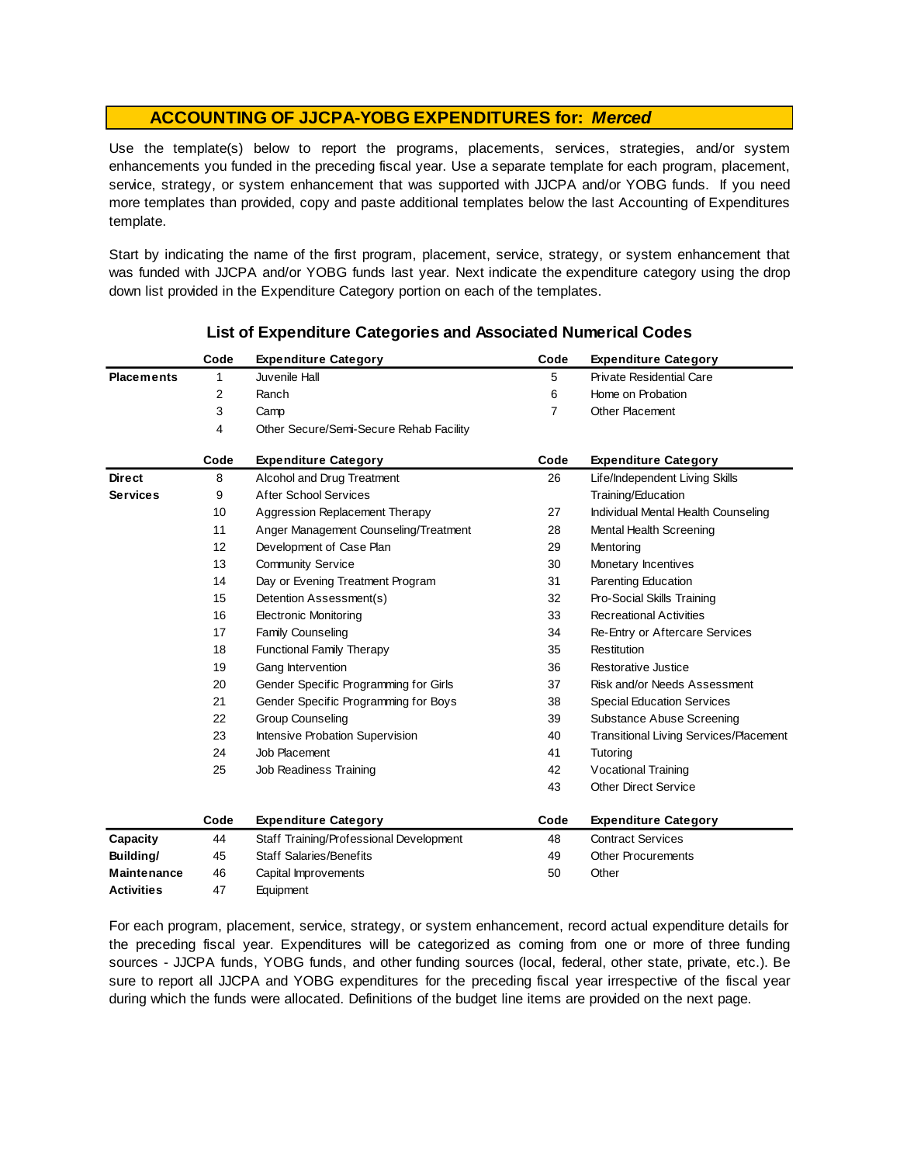#### **ACCOUNTING OF JJCPA-YOBG EXPENDITURES for:** *Merced*

Use the template(s) below to report the programs, placements, services, strategies, and/or system enhancements you funded in the preceding fiscal year. Use <sup>a</sup> separate template for each program, placement, service, strategy, or system enhancement that was supported with JJCPA and/or YOBG funds. If you need more templates than provided, copy and paste additional templates below the last Accounting of Expenditures template.

Start by indicating the name of the first program, placement, service, strategy, or system enhancement that was funded with JJCPA and/or YOBG funds last year. Next indicate the expenditure category using the drop down list provided in the Expenditure Category portion on each of the templates.

|                    | Code | <b>Expenditure Category</b>             | Code           | <b>Expenditure Category</b>                   |
|--------------------|------|-----------------------------------------|----------------|-----------------------------------------------|
| <b>Placements</b>  | 1    | Juvenile Hall                           | 5              | <b>Private Residential Care</b>               |
|                    | 2    | Ranch                                   | 6              | Home on Probation                             |
|                    | 3    | Camp                                    | $\overline{7}$ | Other Placement                               |
|                    | 4    | Other Secure/Semi-Secure Rehab Facility |                |                                               |
|                    | Code | <b>Expenditure Category</b>             | Code           | <b>Expenditure Category</b>                   |
| <b>Direct</b>      | 8    | Alcohol and Drug Treatment              | 26             | Life/Independent Living Skills                |
| <b>Services</b>    | 9    | <b>After School Services</b>            |                | Training/Education                            |
|                    | 10   | Aggression Replacement Therapy          | 27             | Individual Mental Health Counseling           |
|                    | 11   | Anger Management Counseling/Treatment   | 28             | Mental Health Screening                       |
|                    | 12   | Development of Case Plan                | 29             | Mentoring                                     |
|                    | 13   | <b>Community Service</b>                | 30             | Monetary Incentives                           |
|                    | 14   | Day or Evening Treatment Program        | 31             | Parenting Education                           |
|                    | 15   | Detention Assessment(s)                 | 32             | Pro-Social Skills Training                    |
|                    | 16   | <b>Electronic Monitoring</b>            | 33             | <b>Recreational Activities</b>                |
|                    | 17   | <b>Family Counseling</b>                | 34             | Re-Entry or Aftercare Services                |
|                    | 18   | <b>Functional Family Therapy</b>        | 35             | Restitution                                   |
|                    | 19   | Gang Intervention                       | 36             | Restorative Justice                           |
|                    | 20   | Gender Specific Programming for Girls   | 37             | Risk and/or Needs Assessment                  |
|                    | 21   | Gender Specific Programming for Boys    | 38             | <b>Special Education Services</b>             |
|                    | 22   | <b>Group Counseling</b>                 | 39             | Substance Abuse Screening                     |
|                    | 23   | Intensive Probation Supervision         | 40             | <b>Transitional Living Services/Placement</b> |
|                    | 24   | Job Placement                           | 41             | Tutoring                                      |
|                    | 25   | Job Readiness Training                  | 42             | Vocational Training                           |
|                    |      |                                         | 43             | <b>Other Direct Service</b>                   |
|                    | Code | <b>Expenditure Category</b>             | Code           | <b>Expenditure Category</b>                   |
| Capacity           | 44   | Staff Training/Professional Development | 48             | <b>Contract Services</b>                      |
| Building/          | 45   | <b>Staff Salaries/Benefits</b>          | 49             | <b>Other Procurements</b>                     |
| <b>Maintenance</b> | 46   | Capital Improvements                    | 50             | Other                                         |
| <b>Activities</b>  | 47   | Equipment                               |                |                                               |

#### **List of Expenditure Categories and Associated Numerical Codes**

For each program, placement, service, strategy, or system enhancement, record actual expenditure details for the preceding fiscal year. Expenditures will be categorized as coming from one or more of three funding sources - JJCPA funds, YOBG funds, and other funding sources (local, federal, other state, private, etc.). Be sure to report all JJCPA and YOBG expenditures for the preceding fiscal year irrespective of the fiscal year during which the funds were allocated. Definitions of the budget line items are provided on the next page.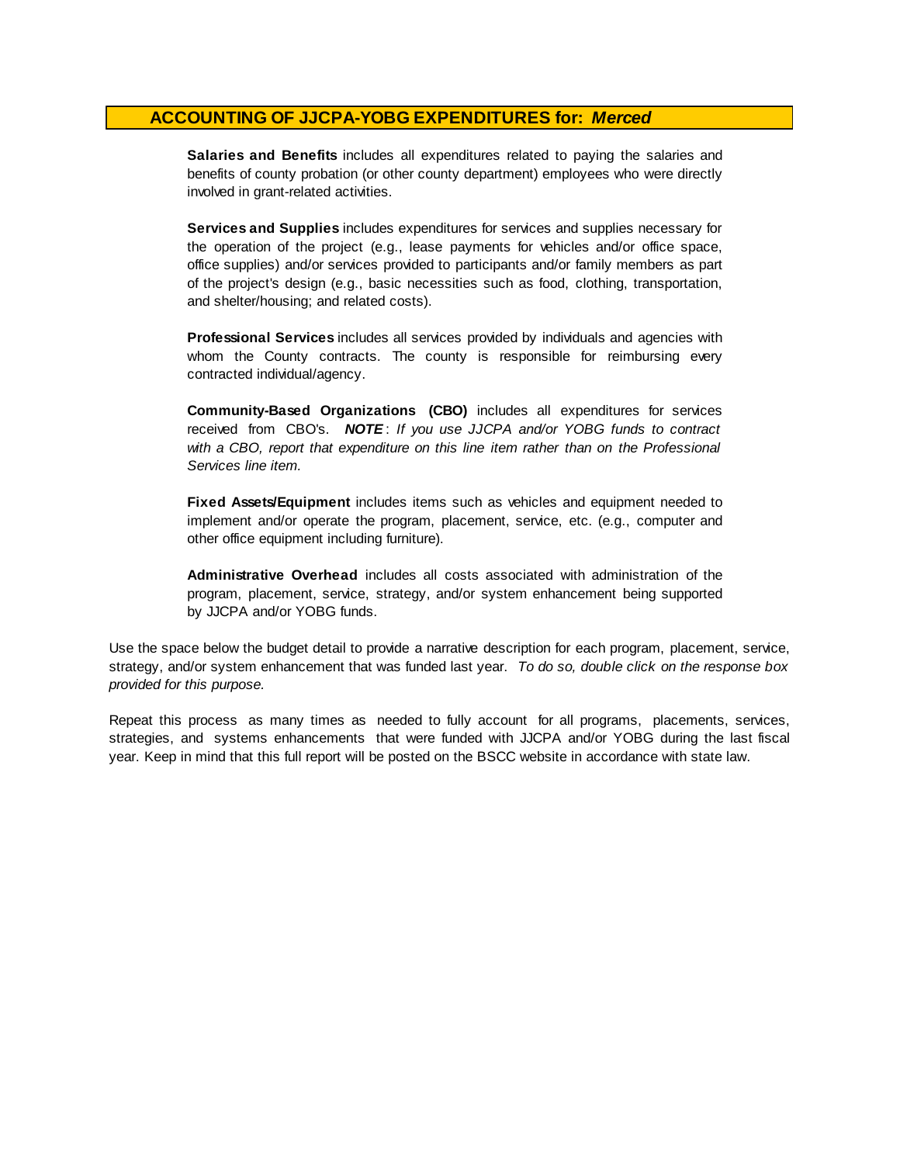#### **ACCOUNTING OF JJCPA-YOBG EXPENDITURES for:** *Merced*

**Salaries and Benefits** includes all expenditures related to paying the salaries and benefits of county probation (or other county department) employees who were directly involved in grant-related activities.

**Services and Supplies** includes expenditures for services and supplies necessary for the operation of the project (e.g., lease payments for vehicles and/or office space, office supplies) and/or services provided to participants and/or family members as part of the project's design (e.g., basic necessities such as food, clothing, transportation, and shelter/housing; and related costs).

**Professional Services** includes all services provided by individuals and agencies with whom the County contracts. The county is responsible for reimbursing every contracted individual/agency.

**Community-Based Organizations (CBO)** includes all expenditures for services received from CBO's. *NOTE* : *I f you use JJCPA and/or YOBG funds t o contract with <sup>a</sup> CBO, report that expenditure on this line item rather than on the Professional Services line item.*

**Fixed Assets/Equipment** includes items such as vehicles and equipment needed to implement and/or operate the program, placement, service, etc. (e.g., computer and other office equipment including furniture).

**Administrative Overhead** includes all costs associated with administration of the program, placement, service, strategy, and/or system enhancement being supported by JJCPA and/or YOBG funds.

Use the space below the budget detail to provide a narrative description for each program, placement, service, strategy, and/or system enhancement that was funded last year. *To do so, double click on the response box provided for this purpose.* 

Repeat this process as many times as needed to fully account for all programs, placements, services, strategies, and systems enhancements that were funded with JJCPA and/or YOBG during the last fiscal year. Keep in mind that this full report will be posted on the BSCC website in accordance with state law.